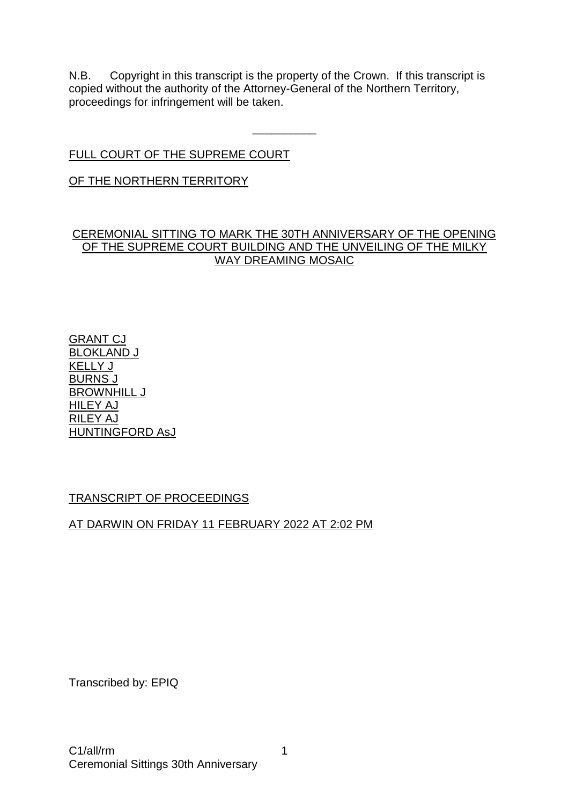N.B. Copyright in this transcript is the property of the Crown. If this transcript is copied without the authority of the Attorney-General of the Northern Territory, proceedings for infringement will be taken.

\_\_\_\_\_\_\_\_\_\_

# FULL COURT OF THE SUPREME COURT

## OF THE NORTHERN TERRITORY

### CEREMONIAL SITTING TO MARK THE 30TH ANNIVERSARY OF THE OPENING OF THE SUPREME COURT BUILDING AND THE UNVEILING OF THE MILKY WAY DREAMING MOSAIC

GRANT CJ BLOKLAND J KELLY J BURNS J BROWNHILL J HILEY AJ RILEY AJ HUNTINGFORD AsJ

# TRANSCRIPT OF PROCEEDINGS

# AT DARWIN ON FRIDAY 11 FEBRUARY 2022 AT 2:02 PM

Transcribed by: EPIQ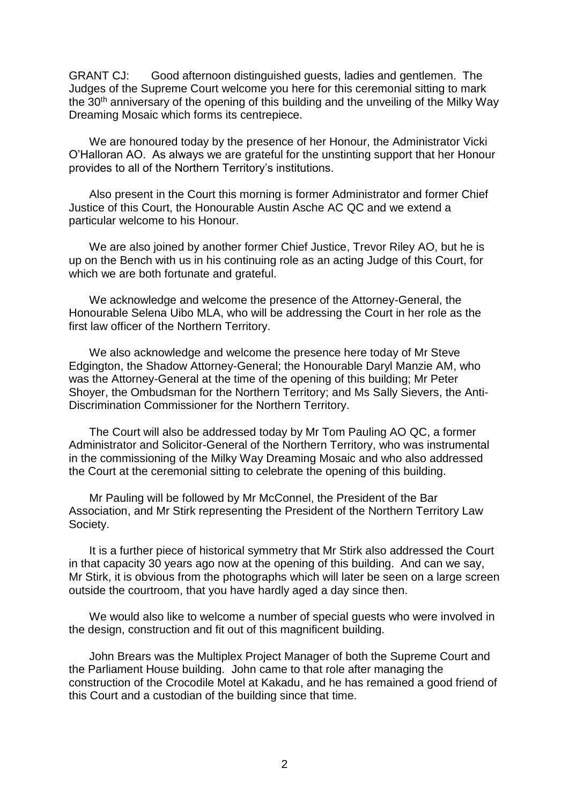GRANT CJ: Good afternoon distinguished guests, ladies and gentlemen. The Judges of the Supreme Court welcome you here for this ceremonial sitting to mark the 30<sup>th</sup> anniversary of the opening of this building and the unveiling of the Milky Way Dreaming Mosaic which forms its centrepiece.

We are honoured today by the presence of her Honour, the Administrator Vicki O'Halloran AO. As always we are grateful for the unstinting support that her Honour provides to all of the Northern Territory's institutions.

Also present in the Court this morning is former Administrator and former Chief Justice of this Court, the Honourable Austin Asche AC QC and we extend a particular welcome to his Honour.

We are also joined by another former Chief Justice, Trevor Riley AO, but he is up on the Bench with us in his continuing role as an acting Judge of this Court, for which we are both fortunate and grateful.

We acknowledge and welcome the presence of the Attorney-General, the Honourable Selena Uibo MLA, who will be addressing the Court in her role as the first law officer of the Northern Territory.

We also acknowledge and welcome the presence here today of Mr Steve Edgington, the Shadow Attorney-General; the Honourable Daryl Manzie AM, who was the Attorney-General at the time of the opening of this building; Mr Peter Shoyer, the Ombudsman for the Northern Territory; and Ms Sally Sievers, the Anti-Discrimination Commissioner for the Northern Territory.

The Court will also be addressed today by Mr Tom Pauling AO QC, a former Administrator and Solicitor-General of the Northern Territory, who was instrumental in the commissioning of the Milky Way Dreaming Mosaic and who also addressed the Court at the ceremonial sitting to celebrate the opening of this building.

Mr Pauling will be followed by Mr McConnel, the President of the Bar Association, and Mr Stirk representing the President of the Northern Territory Law Society.

It is a further piece of historical symmetry that Mr Stirk also addressed the Court in that capacity 30 years ago now at the opening of this building. And can we say, Mr Stirk, it is obvious from the photographs which will later be seen on a large screen outside the courtroom, that you have hardly aged a day since then.

We would also like to welcome a number of special guests who were involved in the design, construction and fit out of this magnificent building.

John Brears was the Multiplex Project Manager of both the Supreme Court and the Parliament House building. John came to that role after managing the construction of the Crocodile Motel at Kakadu, and he has remained a good friend of this Court and a custodian of the building since that time.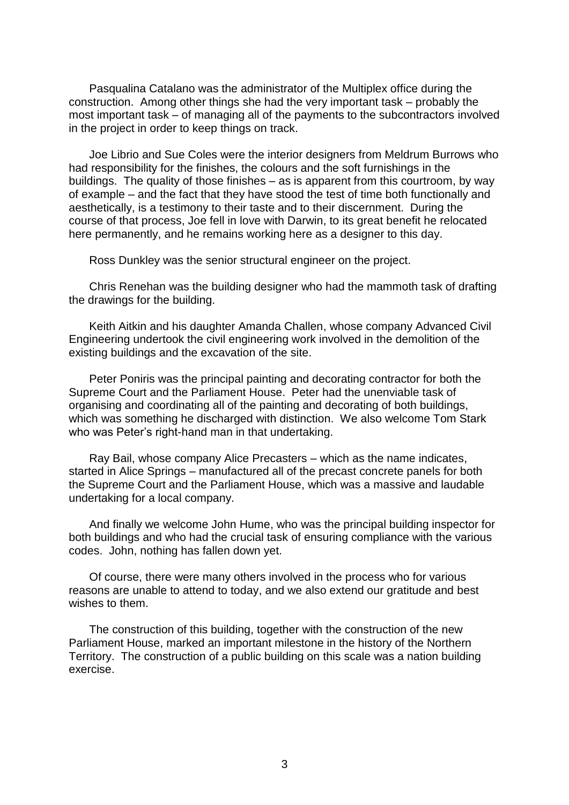Pasqualina Catalano was the administrator of the Multiplex office during the construction. Among other things she had the very important task – probably the most important task – of managing all of the payments to the subcontractors involved in the project in order to keep things on track.

Joe Librio and Sue Coles were the interior designers from Meldrum Burrows who had responsibility for the finishes, the colours and the soft furnishings in the buildings. The quality of those finishes – as is apparent from this courtroom, by way of example – and the fact that they have stood the test of time both functionally and aesthetically, is a testimony to their taste and to their discernment. During the course of that process, Joe fell in love with Darwin, to its great benefit he relocated here permanently, and he remains working here as a designer to this day.

Ross Dunkley was the senior structural engineer on the project.

Chris Renehan was the building designer who had the mammoth task of drafting the drawings for the building.

Keith Aitkin and his daughter Amanda Challen, whose company Advanced Civil Engineering undertook the civil engineering work involved in the demolition of the existing buildings and the excavation of the site.

Peter Poniris was the principal painting and decorating contractor for both the Supreme Court and the Parliament House. Peter had the unenviable task of organising and coordinating all of the painting and decorating of both buildings, which was something he discharged with distinction. We also welcome Tom Stark who was Peter's right-hand man in that undertaking.

Ray Bail, whose company Alice Precasters – which as the name indicates, started in Alice Springs – manufactured all of the precast concrete panels for both the Supreme Court and the Parliament House, which was a massive and laudable undertaking for a local company.

And finally we welcome John Hume, who was the principal building inspector for both buildings and who had the crucial task of ensuring compliance with the various codes. John, nothing has fallen down yet.

Of course, there were many others involved in the process who for various reasons are unable to attend to today, and we also extend our gratitude and best wishes to them.

The construction of this building, together with the construction of the new Parliament House, marked an important milestone in the history of the Northern Territory. The construction of a public building on this scale was a nation building exercise.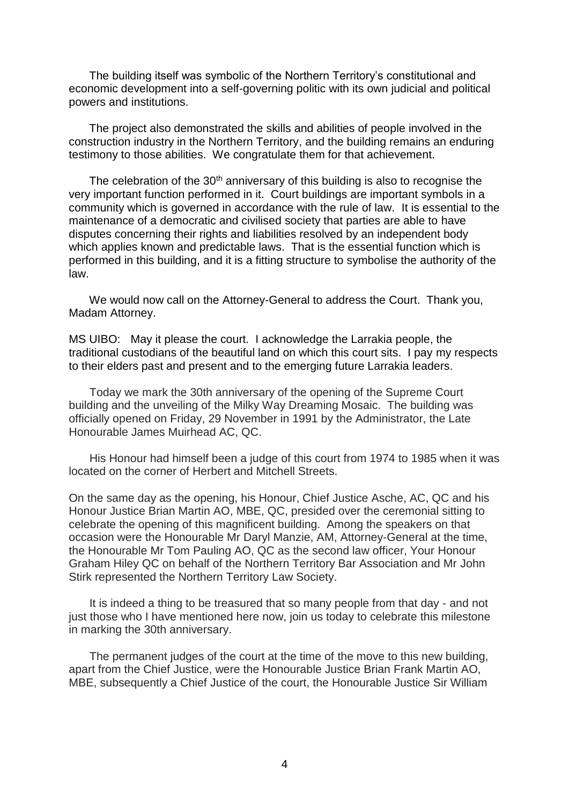The building itself was symbolic of the Northern Territory's constitutional and economic development into a self-governing politic with its own judicial and political powers and institutions.

The project also demonstrated the skills and abilities of people involved in the construction industry in the Northern Territory, and the building remains an enduring testimony to those abilities. We congratulate them for that achievement.

The celebration of the  $30<sup>th</sup>$  anniversary of this building is also to recognise the very important function performed in it. Court buildings are important symbols in a community which is governed in accordance with the rule of law. It is essential to the maintenance of a democratic and civilised society that parties are able to have disputes concerning their rights and liabilities resolved by an independent body which applies known and predictable laws. That is the essential function which is performed in this building, and it is a fitting structure to symbolise the authority of the law.

We would now call on the Attorney-General to address the Court. Thank you, Madam Attorney.

MS UIBO: May it please the court. I acknowledge the Larrakia people, the traditional custodians of the beautiful land on which this court sits. I pay my respects to their elders past and present and to the emerging future Larrakia leaders.

Today we mark the 30th anniversary of the opening of the Supreme Court building and the unveiling of the Milky Way Dreaming Mosaic. The building was officially opened on Friday, 29 November in 1991 by the Administrator, the Late Honourable James Muirhead AC, QC.

His Honour had himself been a judge of this court from 1974 to 1985 when it was located on the corner of Herbert and Mitchell Streets.

On the same day as the opening, his Honour, Chief Justice Asche, AC, QC and his Honour Justice Brian Martin AO, MBE, QC, presided over the ceremonial sitting to celebrate the opening of this magnificent building. Among the speakers on that occasion were the Honourable Mr Daryl Manzie, AM, Attorney-General at the time, the Honourable Mr Tom Pauling AO, QC as the second law officer, Your Honour Graham Hiley QC on behalf of the Northern Territory Bar Association and Mr John Stirk represented the Northern Territory Law Society.

It is indeed a thing to be treasured that so many people from that day - and not just those who I have mentioned here now, join us today to celebrate this milestone in marking the 30th anniversary.

The permanent judges of the court at the time of the move to this new building, apart from the Chief Justice, were the Honourable Justice Brian Frank Martin AO, MBE, subsequently a Chief Justice of the court, the Honourable Justice Sir William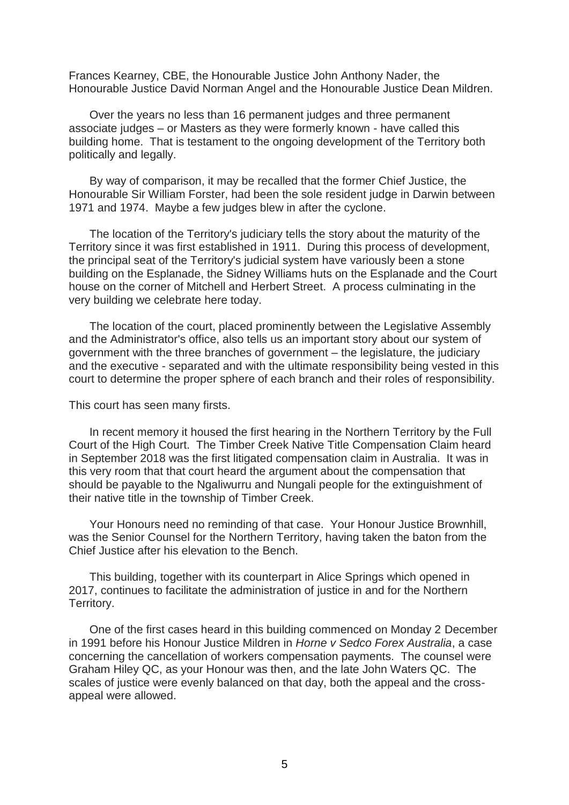Frances Kearney, CBE, the Honourable Justice John Anthony Nader, the Honourable Justice David Norman Angel and the Honourable Justice Dean Mildren.

Over the years no less than 16 permanent judges and three permanent associate judges – or Masters as they were formerly known - have called this building home. That is testament to the ongoing development of the Territory both politically and legally.

By way of comparison, it may be recalled that the former Chief Justice, the Honourable Sir William Forster, had been the sole resident judge in Darwin between 1971 and 1974. Maybe a few judges blew in after the cyclone.

The location of the Territory's judiciary tells the story about the maturity of the Territory since it was first established in 1911. During this process of development, the principal seat of the Territory's judicial system have variously been a stone building on the Esplanade, the Sidney Williams huts on the Esplanade and the Court house on the corner of Mitchell and Herbert Street. A process culminating in the very building we celebrate here today.

The location of the court, placed prominently between the Legislative Assembly and the Administrator's office, also tells us an important story about our system of government with the three branches of government – the legislature, the judiciary and the executive - separated and with the ultimate responsibility being vested in this court to determine the proper sphere of each branch and their roles of responsibility.

This court has seen many firsts.

In recent memory it housed the first hearing in the Northern Territory by the Full Court of the High Court. The Timber Creek Native Title Compensation Claim heard in September 2018 was the first litigated compensation claim in Australia. It was in this very room that that court heard the argument about the compensation that should be payable to the Ngaliwurru and Nungali people for the extinguishment of their native title in the township of Timber Creek.

Your Honours need no reminding of that case. Your Honour Justice Brownhill, was the Senior Counsel for the Northern Territory, having taken the baton from the Chief Justice after his elevation to the Bench.

This building, together with its counterpart in Alice Springs which opened in 2017, continues to facilitate the administration of justice in and for the Northern Territory.

One of the first cases heard in this building commenced on Monday 2 December in 1991 before his Honour Justice Mildren in *Horne v Sedco Forex Australia*, a case concerning the cancellation of workers compensation payments. The counsel were Graham Hiley QC, as your Honour was then, and the late John Waters QC. The scales of justice were evenly balanced on that day, both the appeal and the crossappeal were allowed.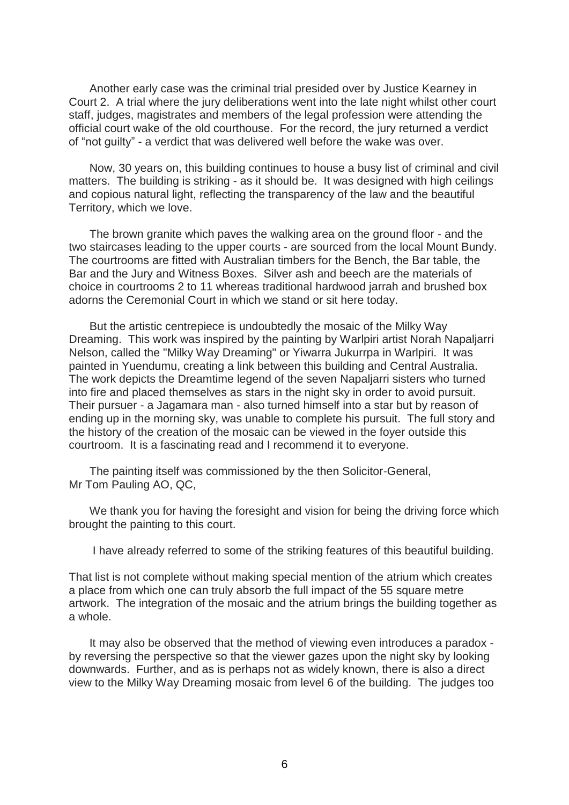Another early case was the criminal trial presided over by Justice Kearney in Court 2. A trial where the jury deliberations went into the late night whilst other court staff, judges, magistrates and members of the legal profession were attending the official court wake of the old courthouse. For the record, the jury returned a verdict of "not guilty" - a verdict that was delivered well before the wake was over.

Now, 30 years on, this building continues to house a busy list of criminal and civil matters. The building is striking - as it should be. It was designed with high ceilings and copious natural light, reflecting the transparency of the law and the beautiful Territory, which we love.

The brown granite which paves the walking area on the ground floor - and the two staircases leading to the upper courts - are sourced from the local Mount Bundy. The courtrooms are fitted with Australian timbers for the Bench, the Bar table, the Bar and the Jury and Witness Boxes. Silver ash and beech are the materials of choice in courtrooms 2 to 11 whereas traditional hardwood jarrah and brushed box adorns the Ceremonial Court in which we stand or sit here today.

But the artistic centrepiece is undoubtedly the mosaic of the Milky Way Dreaming. This work was inspired by the painting by Warlpiri artist Norah Napaljarri Nelson, called the "Milky Way Dreaming" or Yiwarra Jukurrpa in Warlpiri. It was painted in Yuendumu, creating a link between this building and Central Australia. The work depicts the Dreamtime legend of the seven Napaljarri sisters who turned into fire and placed themselves as stars in the night sky in order to avoid pursuit. Their pursuer - a Jagamara man - also turned himself into a star but by reason of ending up in the morning sky, was unable to complete his pursuit. The full story and the history of the creation of the mosaic can be viewed in the foyer outside this courtroom. It is a fascinating read and I recommend it to everyone.

The painting itself was commissioned by the then Solicitor-General, Mr Tom Pauling AO, QC,

We thank you for having the foresight and vision for being the driving force which brought the painting to this court.

I have already referred to some of the striking features of this beautiful building.

That list is not complete without making special mention of the atrium which creates a place from which one can truly absorb the full impact of the 55 square metre artwork. The integration of the mosaic and the atrium brings the building together as a whole.

It may also be observed that the method of viewing even introduces a paradox by reversing the perspective so that the viewer gazes upon the night sky by looking downwards. Further, and as is perhaps not as widely known, there is also a direct view to the Milky Way Dreaming mosaic from level 6 of the building. The judges too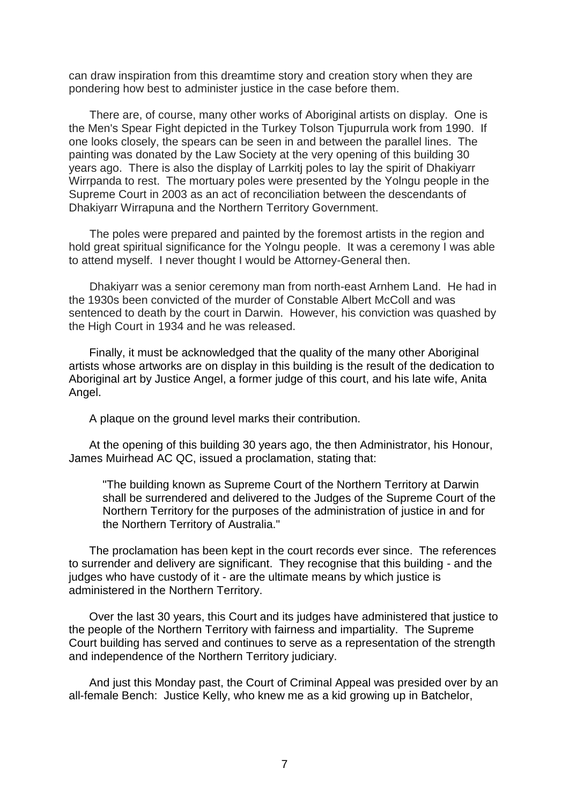can draw inspiration from this dreamtime story and creation story when they are pondering how best to administer justice in the case before them.

There are, of course, many other works of Aboriginal artists on display. One is the Men's Spear Fight depicted in the Turkey Tolson Tjupurrula work from 1990. If one looks closely, the spears can be seen in and between the parallel lines. The painting was donated by the Law Society at the very opening of this building 30 years ago. There is also the display of Larrkitj poles to lay the spirit of Dhakiyarr Wirrpanda to rest. The mortuary poles were presented by the Yolngu people in the Supreme Court in 2003 as an act of reconciliation between the descendants of Dhakiyarr Wirrapuna and the Northern Territory Government.

The poles were prepared and painted by the foremost artists in the region and hold great spiritual significance for the Yolngu people. It was a ceremony I was able to attend myself. I never thought I would be Attorney-General then.

Dhakiyarr was a senior ceremony man from north-east Arnhem Land. He had in the 1930s been convicted of the murder of Constable Albert McColl and was sentenced to death by the court in Darwin. However, his conviction was quashed by the High Court in 1934 and he was released.

Finally, it must be acknowledged that the quality of the many other Aboriginal artists whose artworks are on display in this building is the result of the dedication to Aboriginal art by Justice Angel, a former judge of this court, and his late wife, Anita Angel.

A plaque on the ground level marks their contribution.

At the opening of this building 30 years ago, the then Administrator, his Honour, James Muirhead AC QC, issued a proclamation, stating that:

"The building known as Supreme Court of the Northern Territory at Darwin shall be surrendered and delivered to the Judges of the Supreme Court of the Northern Territory for the purposes of the administration of justice in and for the Northern Territory of Australia."

The proclamation has been kept in the court records ever since. The references to surrender and delivery are significant. They recognise that this building - and the judges who have custody of it - are the ultimate means by which justice is administered in the Northern Territory.

Over the last 30 years, this Court and its judges have administered that justice to the people of the Northern Territory with fairness and impartiality. The Supreme Court building has served and continues to serve as a representation of the strength and independence of the Northern Territory judiciary.

And just this Monday past, the Court of Criminal Appeal was presided over by an all-female Bench: Justice Kelly, who knew me as a kid growing up in Batchelor,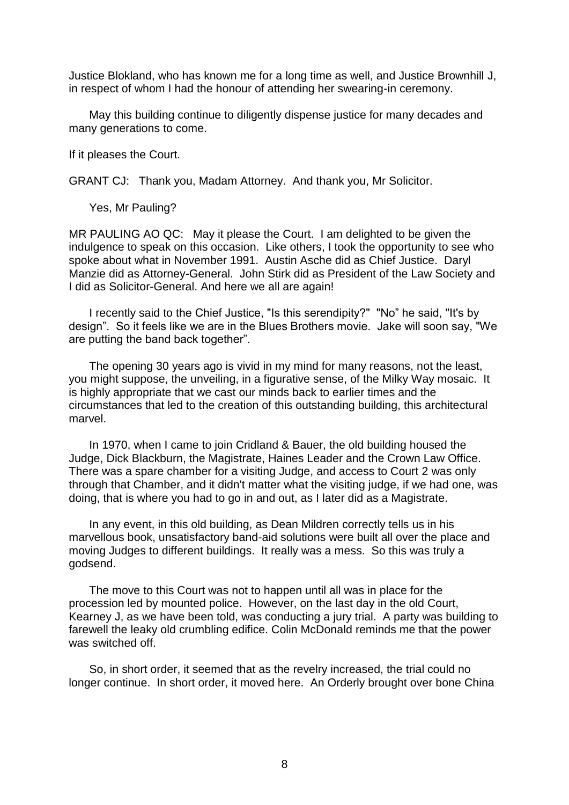Justice Blokland, who has known me for a long time as well, and Justice Brownhill J, in respect of whom I had the honour of attending her swearing-in ceremony.

May this building continue to diligently dispense justice for many decades and many generations to come.

If it pleases the Court.

GRANT CJ: Thank you, Madam Attorney. And thank you, Mr Solicitor.

Yes, Mr Pauling?

MR PAULING AO QC: May it please the Court. I am delighted to be given the indulgence to speak on this occasion. Like others, I took the opportunity to see who spoke about what in November 1991. Austin Asche did as Chief Justice. Daryl Manzie did as Attorney-General. John Stirk did as President of the Law Society and I did as Solicitor-General. And here we all are again!

I recently said to the Chief Justice, "Is this serendipity?" "No" he said, "It's by design". So it feels like we are in the Blues Brothers movie. Jake will soon say, "We are putting the band back together".

The opening 30 years ago is vivid in my mind for many reasons, not the least, you might suppose, the unveiling, in a figurative sense, of the Milky Way mosaic. It is highly appropriate that we cast our minds back to earlier times and the circumstances that led to the creation of this outstanding building, this architectural marvel.

In 1970, when I came to join Cridland & Bauer, the old building housed the Judge, Dick Blackburn, the Magistrate, Haines Leader and the Crown Law Office. There was a spare chamber for a visiting Judge, and access to Court 2 was only through that Chamber, and it didn't matter what the visiting judge, if we had one, was doing, that is where you had to go in and out, as I later did as a Magistrate.

In any event, in this old building, as Dean Mildren correctly tells us in his marvellous book, unsatisfactory band-aid solutions were built all over the place and moving Judges to different buildings. It really was a mess. So this was truly a godsend.

The move to this Court was not to happen until all was in place for the procession led by mounted police. However, on the last day in the old Court, Kearney J, as we have been told, was conducting a jury trial. A party was building to farewell the leaky old crumbling edifice. Colin McDonald reminds me that the power was switched off.

So, in short order, it seemed that as the revelry increased, the trial could no longer continue. In short order, it moved here. An Orderly brought over bone China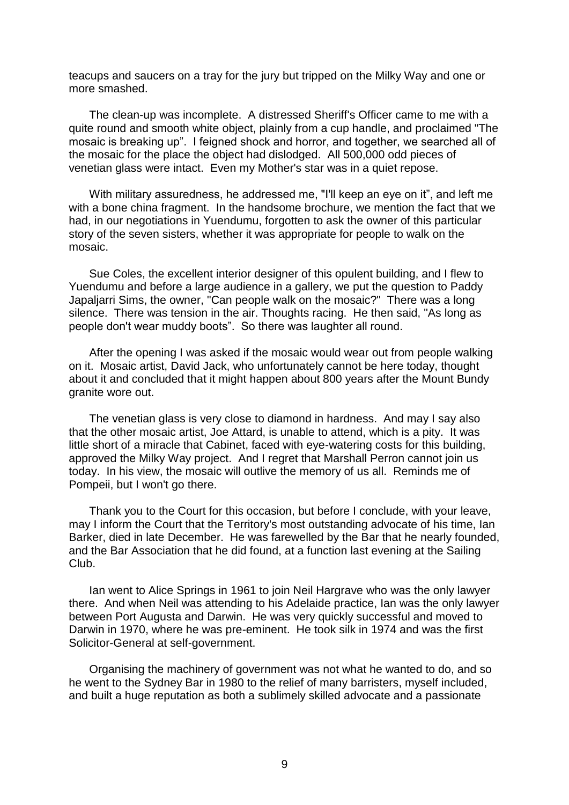teacups and saucers on a tray for the jury but tripped on the Milky Way and one or more smashed.

The clean-up was incomplete. A distressed Sheriff's Officer came to me with a quite round and smooth white object, plainly from a cup handle, and proclaimed "The mosaic is breaking up". I feigned shock and horror, and together, we searched all of the mosaic for the place the object had dislodged. All 500,000 odd pieces of venetian glass were intact. Even my Mother's star was in a quiet repose.

With military assuredness, he addressed me, "I'll keep an eye on it", and left me with a bone china fragment. In the handsome brochure, we mention the fact that we had, in our negotiations in Yuendumu, forgotten to ask the owner of this particular story of the seven sisters, whether it was appropriate for people to walk on the mosaic.

Sue Coles, the excellent interior designer of this opulent building, and I flew to Yuendumu and before a large audience in a gallery, we put the question to Paddy Japaljarri Sims, the owner, "Can people walk on the mosaic?" There was a long silence. There was tension in the air. Thoughts racing. He then said, "As long as people don't wear muddy boots". So there was laughter all round.

After the opening I was asked if the mosaic would wear out from people walking on it. Mosaic artist, David Jack, who unfortunately cannot be here today, thought about it and concluded that it might happen about 800 years after the Mount Bundy granite wore out.

The venetian glass is very close to diamond in hardness. And may I say also that the other mosaic artist, Joe Attard, is unable to attend, which is a pity. It was little short of a miracle that Cabinet, faced with eye-watering costs for this building, approved the Milky Way project. And I regret that Marshall Perron cannot join us today. In his view, the mosaic will outlive the memory of us all. Reminds me of Pompeii, but I won't go there.

Thank you to the Court for this occasion, but before I conclude, with your leave, may I inform the Court that the Territory's most outstanding advocate of his time, Ian Barker, died in late December. He was farewelled by the Bar that he nearly founded, and the Bar Association that he did found, at a function last evening at the Sailing Club.

Ian went to Alice Springs in 1961 to join Neil Hargrave who was the only lawyer there. And when Neil was attending to his Adelaide practice, Ian was the only lawyer between Port Augusta and Darwin. He was very quickly successful and moved to Darwin in 1970, where he was pre-eminent. He took silk in 1974 and was the first Solicitor-General at self-government.

Organising the machinery of government was not what he wanted to do, and so he went to the Sydney Bar in 1980 to the relief of many barristers, myself included, and built a huge reputation as both a sublimely skilled advocate and a passionate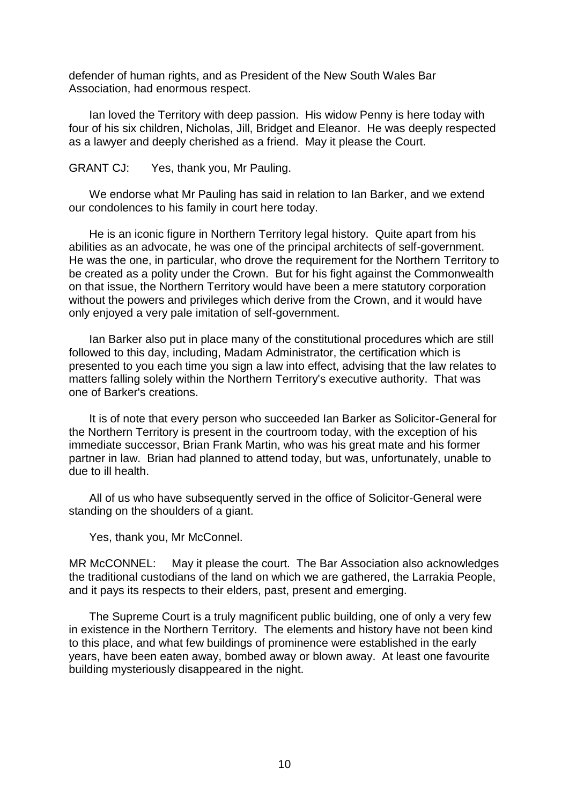defender of human rights, and as President of the New South Wales Bar Association, had enormous respect.

Ian loved the Territory with deep passion. His widow Penny is here today with four of his six children, Nicholas, Jill, Bridget and Eleanor. He was deeply respected as a lawyer and deeply cherished as a friend. May it please the Court.

GRANT CJ: Yes, thank you, Mr Pauling.

We endorse what Mr Pauling has said in relation to Ian Barker, and we extend our condolences to his family in court here today.

He is an iconic figure in Northern Territory legal history. Quite apart from his abilities as an advocate, he was one of the principal architects of self-government. He was the one, in particular, who drove the requirement for the Northern Territory to be created as a polity under the Crown. But for his fight against the Commonwealth on that issue, the Northern Territory would have been a mere statutory corporation without the powers and privileges which derive from the Crown, and it would have only enjoyed a very pale imitation of self-government.

Ian Barker also put in place many of the constitutional procedures which are still followed to this day, including, Madam Administrator, the certification which is presented to you each time you sign a law into effect, advising that the law relates to matters falling solely within the Northern Territory's executive authority. That was one of Barker's creations.

It is of note that every person who succeeded Ian Barker as Solicitor-General for the Northern Territory is present in the courtroom today, with the exception of his immediate successor, Brian Frank Martin, who was his great mate and his former partner in law. Brian had planned to attend today, but was, unfortunately, unable to due to ill health.

All of us who have subsequently served in the office of Solicitor-General were standing on the shoulders of a giant.

Yes, thank you, Mr McConnel.

MR McCONNEL: May it please the court. The Bar Association also acknowledges the traditional custodians of the land on which we are gathered, the Larrakia People, and it pays its respects to their elders, past, present and emerging.

The Supreme Court is a truly magnificent public building, one of only a very few in existence in the Northern Territory. The elements and history have not been kind to this place, and what few buildings of prominence were established in the early years, have been eaten away, bombed away or blown away. At least one favourite building mysteriously disappeared in the night.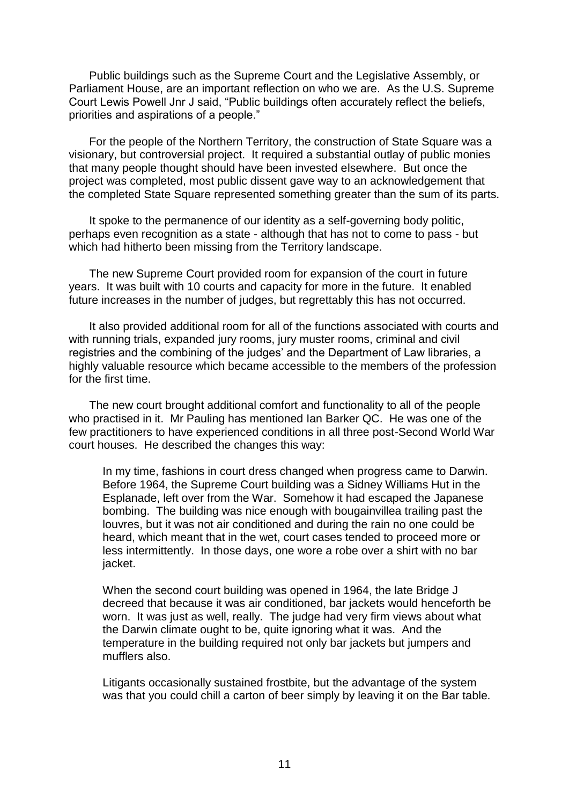Public buildings such as the Supreme Court and the Legislative Assembly, or Parliament House, are an important reflection on who we are. As the U.S. Supreme Court Lewis Powell Jnr J said, "Public buildings often accurately reflect the beliefs, priorities and aspirations of a people."

For the people of the Northern Territory, the construction of State Square was a visionary, but controversial project. It required a substantial outlay of public monies that many people thought should have been invested elsewhere. But once the project was completed, most public dissent gave way to an acknowledgement that the completed State Square represented something greater than the sum of its parts.

It spoke to the permanence of our identity as a self-governing body politic, perhaps even recognition as a state - although that has not to come to pass - but which had hitherto been missing from the Territory landscape.

The new Supreme Court provided room for expansion of the court in future years. It was built with 10 courts and capacity for more in the future. It enabled future increases in the number of judges, but regrettably this has not occurred.

It also provided additional room for all of the functions associated with courts and with running trials, expanded jury rooms, jury muster rooms, criminal and civil registries and the combining of the judges' and the Department of Law libraries, a highly valuable resource which became accessible to the members of the profession for the first time.

The new court brought additional comfort and functionality to all of the people who practised in it. Mr Pauling has mentioned Ian Barker QC. He was one of the few practitioners to have experienced conditions in all three post-Second World War court houses. He described the changes this way:

In my time, fashions in court dress changed when progress came to Darwin. Before 1964, the Supreme Court building was a Sidney Williams Hut in the Esplanade, left over from the War. Somehow it had escaped the Japanese bombing. The building was nice enough with bougainvillea trailing past the louvres, but it was not air conditioned and during the rain no one could be heard, which meant that in the wet, court cases tended to proceed more or less intermittently. In those days, one wore a robe over a shirt with no bar jacket.

When the second court building was opened in 1964, the late Bridge J decreed that because it was air conditioned, bar jackets would henceforth be worn. It was just as well, really. The judge had very firm views about what the Darwin climate ought to be, quite ignoring what it was. And the temperature in the building required not only bar jackets but jumpers and mufflers also.

Litigants occasionally sustained frostbite, but the advantage of the system was that you could chill a carton of beer simply by leaving it on the Bar table.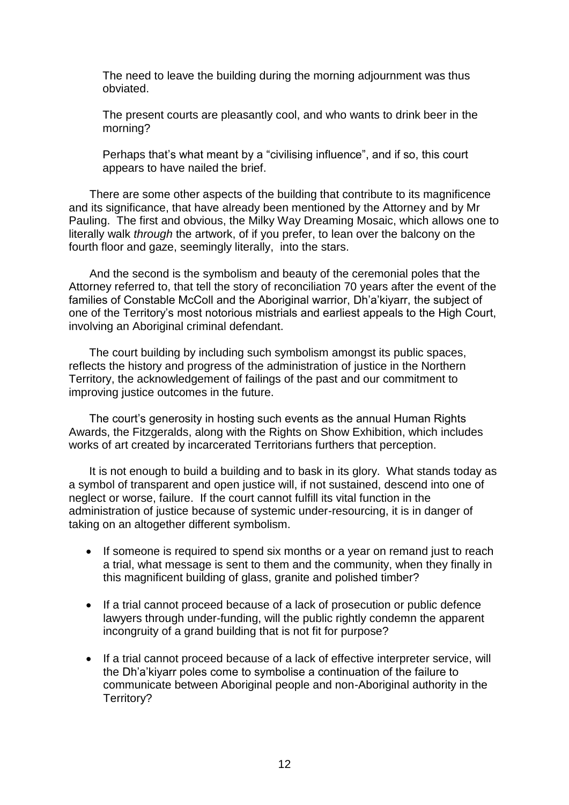The need to leave the building during the morning adjournment was thus obviated.

The present courts are pleasantly cool, and who wants to drink beer in the morning?

Perhaps that's what meant by a "civilising influence", and if so, this court appears to have nailed the brief.

There are some other aspects of the building that contribute to its magnificence and its significance, that have already been mentioned by the Attorney and by Mr Pauling. The first and obvious, the Milky Way Dreaming Mosaic, which allows one to literally walk *through* the artwork, of if you prefer, to lean over the balcony on the fourth floor and gaze, seemingly literally, into the stars.

And the second is the symbolism and beauty of the ceremonial poles that the Attorney referred to, that tell the story of reconciliation 70 years after the event of the families of Constable McColl and the Aboriginal warrior, Dh'a'kiyarr, the subject of one of the Territory's most notorious mistrials and earliest appeals to the High Court, involving an Aboriginal criminal defendant.

The court building by including such symbolism amongst its public spaces, reflects the history and progress of the administration of justice in the Northern Territory, the acknowledgement of failings of the past and our commitment to improving justice outcomes in the future.

The court's generosity in hosting such events as the annual Human Rights Awards, the Fitzgeralds, along with the Rights on Show Exhibition, which includes works of art created by incarcerated Territorians furthers that perception.

It is not enough to build a building and to bask in its glory. What stands today as a symbol of transparent and open justice will, if not sustained, descend into one of neglect or worse, failure. If the court cannot fulfill its vital function in the administration of justice because of systemic under-resourcing, it is in danger of taking on an altogether different symbolism.

- If someone is required to spend six months or a year on remand just to reach a trial, what message is sent to them and the community, when they finally in this magnificent building of glass, granite and polished timber?
- If a trial cannot proceed because of a lack of prosecution or public defence lawyers through under-funding, will the public rightly condemn the apparent incongruity of a grand building that is not fit for purpose?
- If a trial cannot proceed because of a lack of effective interpreter service, will the Dh'a'kiyarr poles come to symbolise a continuation of the failure to communicate between Aboriginal people and non-Aboriginal authority in the Territory?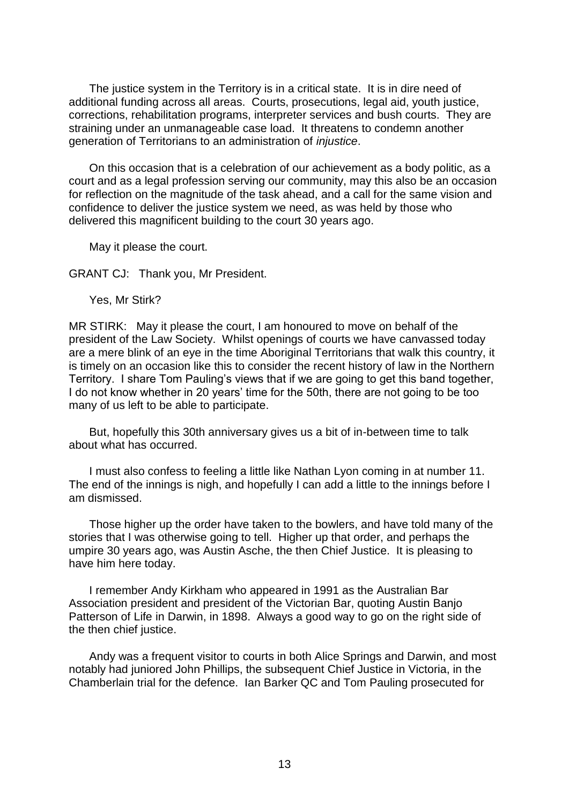The justice system in the Territory is in a critical state. It is in dire need of additional funding across all areas. Courts, prosecutions, legal aid, youth justice, corrections, rehabilitation programs, interpreter services and bush courts. They are straining under an unmanageable case load. It threatens to condemn another generation of Territorians to an administration of *injustice*.

On this occasion that is a celebration of our achievement as a body politic, as a court and as a legal profession serving our community, may this also be an occasion for reflection on the magnitude of the task ahead, and a call for the same vision and confidence to deliver the justice system we need, as was held by those who delivered this magnificent building to the court 30 years ago.

May it please the court.

GRANT CJ: Thank you, Mr President.

Yes, Mr Stirk?

MR STIRK: May it please the court, I am honoured to move on behalf of the president of the Law Society. Whilst openings of courts we have canvassed today are a mere blink of an eye in the time Aboriginal Territorians that walk this country, it is timely on an occasion like this to consider the recent history of law in the Northern Territory. I share Tom Pauling's views that if we are going to get this band together, I do not know whether in 20 years' time for the 50th, there are not going to be too many of us left to be able to participate.

But, hopefully this 30th anniversary gives us a bit of in-between time to talk about what has occurred.

I must also confess to feeling a little like Nathan Lyon coming in at number 11. The end of the innings is nigh, and hopefully I can add a little to the innings before I am dismissed.

Those higher up the order have taken to the bowlers, and have told many of the stories that I was otherwise going to tell. Higher up that order, and perhaps the umpire 30 years ago, was Austin Asche, the then Chief Justice. It is pleasing to have him here today.

I remember Andy Kirkham who appeared in 1991 as the Australian Bar Association president and president of the Victorian Bar, quoting Austin Banjo Patterson of Life in Darwin, in 1898. Always a good way to go on the right side of the then chief justice.

Andy was a frequent visitor to courts in both Alice Springs and Darwin, and most notably had juniored John Phillips, the subsequent Chief Justice in Victoria, in the Chamberlain trial for the defence. Ian Barker QC and Tom Pauling prosecuted for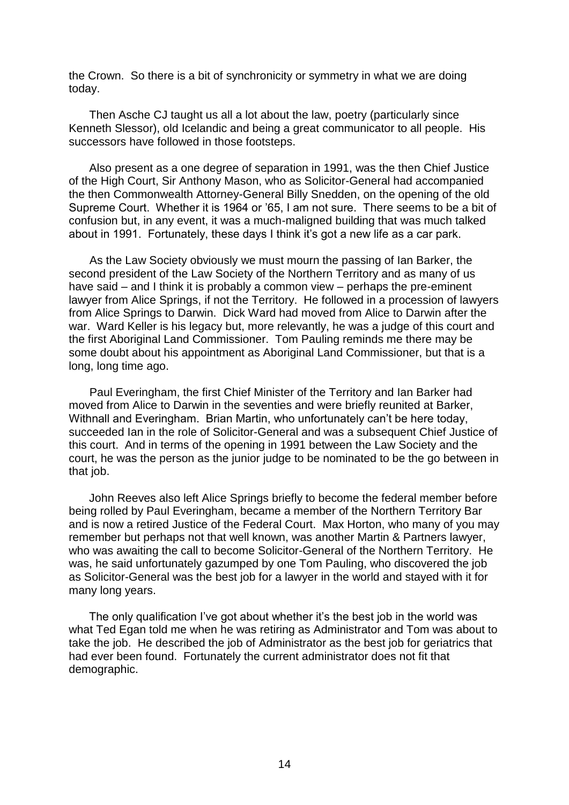the Crown. So there is a bit of synchronicity or symmetry in what we are doing today.

Then Asche CJ taught us all a lot about the law, poetry (particularly since Kenneth Slessor), old Icelandic and being a great communicator to all people. His successors have followed in those footsteps.

Also present as a one degree of separation in 1991, was the then Chief Justice of the High Court, Sir Anthony Mason, who as Solicitor-General had accompanied the then Commonwealth Attorney-General Billy Snedden, on the opening of the old Supreme Court. Whether it is 1964 or '65, I am not sure. There seems to be a bit of confusion but, in any event, it was a much-maligned building that was much talked about in 1991. Fortunately, these days I think it's got a new life as a car park.

As the Law Society obviously we must mourn the passing of Ian Barker, the second president of the Law Society of the Northern Territory and as many of us have said – and I think it is probably a common view – perhaps the pre-eminent lawyer from Alice Springs, if not the Territory. He followed in a procession of lawyers from Alice Springs to Darwin. Dick Ward had moved from Alice to Darwin after the war. Ward Keller is his legacy but, more relevantly, he was a judge of this court and the first Aboriginal Land Commissioner. Tom Pauling reminds me there may be some doubt about his appointment as Aboriginal Land Commissioner, but that is a long, long time ago.

Paul Everingham, the first Chief Minister of the Territory and Ian Barker had moved from Alice to Darwin in the seventies and were briefly reunited at Barker, Withnall and Everingham. Brian Martin, who unfortunately can't be here today, succeeded Ian in the role of Solicitor-General and was a subsequent Chief Justice of this court. And in terms of the opening in 1991 between the Law Society and the court, he was the person as the junior judge to be nominated to be the go between in that job.

John Reeves also left Alice Springs briefly to become the federal member before being rolled by Paul Everingham, became a member of the Northern Territory Bar and is now a retired Justice of the Federal Court. Max Horton, who many of you may remember but perhaps not that well known, was another Martin & Partners lawyer, who was awaiting the call to become Solicitor-General of the Northern Territory. He was, he said unfortunately gazumped by one Tom Pauling, who discovered the job as Solicitor-General was the best job for a lawyer in the world and stayed with it for many long years.

The only qualification I've got about whether it's the best job in the world was what Ted Egan told me when he was retiring as Administrator and Tom was about to take the job. He described the job of Administrator as the best job for geriatrics that had ever been found. Fortunately the current administrator does not fit that demographic.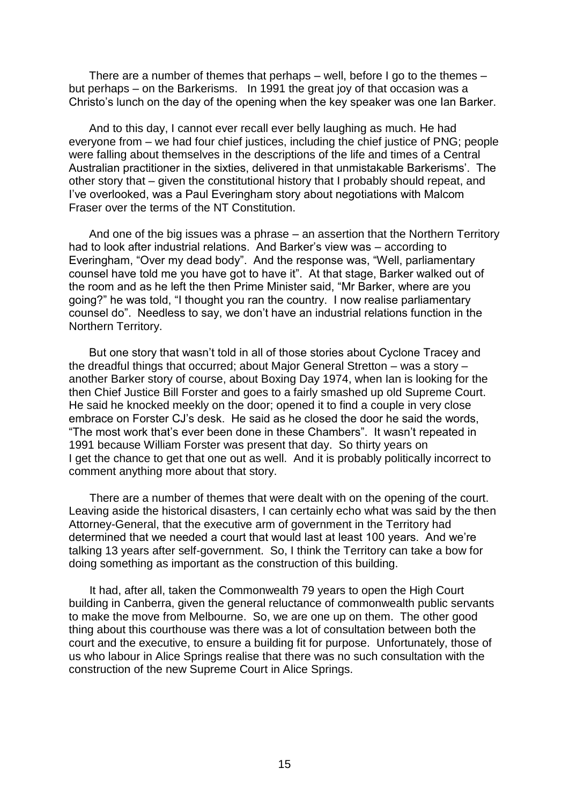There are a number of themes that perhaps – well, before I go to the themes – but perhaps – on the Barkerisms. In 1991 the great joy of that occasion was a Christo's lunch on the day of the opening when the key speaker was one Ian Barker.

And to this day, I cannot ever recall ever belly laughing as much. He had everyone from – we had four chief justices, including the chief justice of PNG; people were falling about themselves in the descriptions of the life and times of a Central Australian practitioner in the sixties, delivered in that unmistakable Barkerisms'. The other story that – given the constitutional history that I probably should repeat, and I've overlooked, was a Paul Everingham story about negotiations with Malcom Fraser over the terms of the NT Constitution.

And one of the big issues was a phrase – an assertion that the Northern Territory had to look after industrial relations. And Barker's view was – according to Everingham, "Over my dead body". And the response was, "Well, parliamentary counsel have told me you have got to have it". At that stage, Barker walked out of the room and as he left the then Prime Minister said, "Mr Barker, where are you going?" he was told, "I thought you ran the country. I now realise parliamentary counsel do". Needless to say, we don't have an industrial relations function in the Northern Territory.

But one story that wasn't told in all of those stories about Cyclone Tracey and the dreadful things that occurred; about Major General Stretton – was a story – another Barker story of course, about Boxing Day 1974, when Ian is looking for the then Chief Justice Bill Forster and goes to a fairly smashed up old Supreme Court. He said he knocked meekly on the door; opened it to find a couple in very close embrace on Forster CJ's desk. He said as he closed the door he said the words, "The most work that's ever been done in these Chambers". It wasn't repeated in 1991 because William Forster was present that day. So thirty years on I get the chance to get that one out as well. And it is probably politically incorrect to comment anything more about that story.

There are a number of themes that were dealt with on the opening of the court. Leaving aside the historical disasters, I can certainly echo what was said by the then Attorney-General, that the executive arm of government in the Territory had determined that we needed a court that would last at least 100 years. And we're talking 13 years after self-government. So, I think the Territory can take a bow for doing something as important as the construction of this building.

It had, after all, taken the Commonwealth 79 years to open the High Court building in Canberra, given the general reluctance of commonwealth public servants to make the move from Melbourne. So, we are one up on them. The other good thing about this courthouse was there was a lot of consultation between both the court and the executive, to ensure a building fit for purpose. Unfortunately, those of us who labour in Alice Springs realise that there was no such consultation with the construction of the new Supreme Court in Alice Springs.